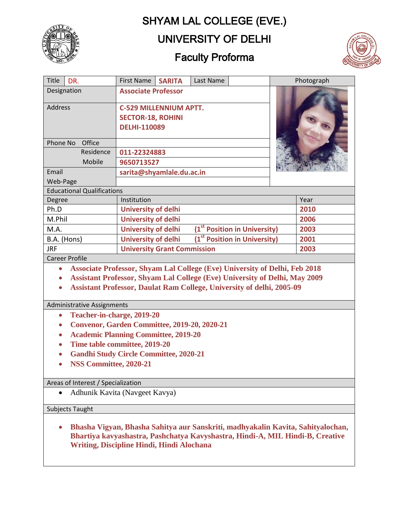# SHYAM LAL COLLEGE (EVE.)



# UNIVERSITY OF DELHI

# Faculty Proforma



| Title<br>DR.                                                                                   | <b>First Name</b><br>Last Name<br><b>SARITA</b>                        | Photograph |
|------------------------------------------------------------------------------------------------|------------------------------------------------------------------------|------------|
| Designation                                                                                    | <b>Associate Professor</b>                                             |            |
| <b>Address</b>                                                                                 | <b>C-529 MILLENNIUM APTT.</b>                                          |            |
|                                                                                                | <b>SECTOR-18, ROHINI</b>                                               |            |
|                                                                                                | <b>DELHI-110089</b>                                                    |            |
| Phone No<br>Office                                                                             |                                                                        |            |
| Residence                                                                                      | 011-22324883                                                           |            |
| Mobile                                                                                         | 9650713527                                                             |            |
| Email                                                                                          | sarita@shyamlale.du.ac.in                                              |            |
| Web-Page                                                                                       |                                                                        |            |
| <b>Educational Qualifications</b>                                                              |                                                                        |            |
| Degree                                                                                         | Institution                                                            | Year       |
| Ph.D                                                                                           | <b>University of delhi</b>                                             | 2010       |
| M.Phil                                                                                         | <b>University of delhi</b>                                             | 2006       |
| M.A.                                                                                           | (1 <sup>st</sup> Position in University)<br><b>University of delhi</b> | 2003       |
| B.A. (Hons)                                                                                    | (1 <sup>st</sup> Position in University)<br><b>University of delhi</b> | 2001       |
| <b>JRF</b>                                                                                     | <b>University Grant Commission</b>                                     | 2003       |
| <b>Career Profile</b>                                                                          |                                                                        |            |
| <b>Associate Professor, Shyam Lal College (Eve) University of Delhi, Feb 2018</b><br>$\bullet$ |                                                                        |            |
| Assistant Professor, Shyam Lal College (Eve) University of Delhi, May 2009                     |                                                                        |            |
| <b>Assistant Professor, Daulat Ram College, University of delhi, 2005-09</b><br>$\bullet$      |                                                                        |            |
|                                                                                                |                                                                        |            |
| Administrative Assignments                                                                     |                                                                        |            |
| Teacher-in-charge, 2019-20<br>$\bullet$                                                        |                                                                        |            |
| Convenor, Garden Committee, 2019-20, 2020-21<br>$\bullet$                                      |                                                                        |            |
| <b>Academic Planning Committee, 2019-20</b><br>$\bullet$                                       |                                                                        |            |
| Time table committee, 2019-20<br>$\bullet$                                                     |                                                                        |            |
| <b>Gandhi Study Circle Committee, 2020-21</b><br>$\bullet$                                     |                                                                        |            |
| NSS Committee, 2020-21                                                                         |                                                                        |            |
|                                                                                                |                                                                        |            |
| Areas of Interest / Specialization                                                             |                                                                        |            |
| Adhunik Kavita (Navgeet Kavya)                                                                 |                                                                        |            |
| Subjects Taught                                                                                |                                                                        |            |
|                                                                                                |                                                                        |            |

 **Bhasha Vigyan, Bhasha Sahitya aur Sanskriti, madhyakalin Kavita, Sahityalochan, Bhartiya kavyashastra, Pashchatya Kavyshastra, Hindi-A, MIL Hindi-B, Creative Writing, Discipline Hindi, Hindi Alochana**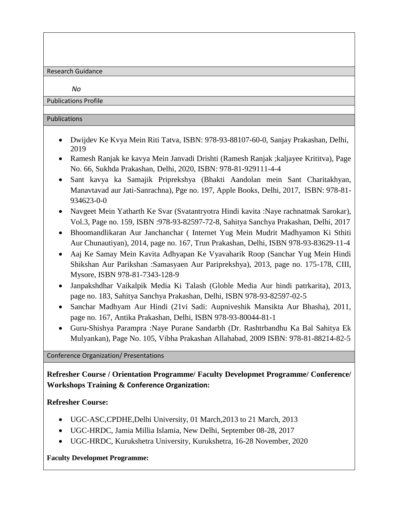Research Guidance

*No*

Publications Profile

#### Publications

- Dwijdev Ke Kvya Mein Riti Tatva, ISBN: 978-93-88107-60-0, Sanjay Prakashan, Delhi, 2019
- Ramesh Ranjak ke kavya Mein Janvadi Drishti (Ramesh Ranjak ;kaljayee Krititva), Page No. 66, Sukhda Prakashan, Delhi, 2020, ISBN: 978-81-929111-4-4
- Sant kavya ka Samajik Priprekshya (Bhakti Aandolan mein Sant Charitakhyan, Manavtavad aur Jati-Sanrachna), Pge no. 197, Apple Books, Delhi, 2017, ISBN: 978-81- 934623-0-0
- Navgeet Mein Yatharth Ke Svar (Svatantryotra Hindi kavita :Naye rachnatmak Sarokar), Vol.3, Page no. 159, ISBN :978-93-82597-72-8, Sahitya Sanchya Prakashan, Delhi, 2017
- Bhoomandlikaran Aur Janchanchar ( Internet Yug Mein Mudrit Madhyamon Ki Sthiti Aur Chunautiyan), 2014, page no. 167, Trun Prakashan, Delhi, ISBN 978-93-83629-11-4
- Aaj Ke Samay Mein Kavita Adhyapan Ke Vyavaharik Roop (Sanchar Yug Mein Hindi Shikshan Aur Parikshan :Samasyaen Aur Pariprekshya), 2013, page no. 175-178, CIII, Mysore, ISBN 978-81-7343-128-9
- Janpakshdhar Vaikalpik Media Ki Talash (Globle Media Aur hindi patrkarita), 2013, page no. 183, Sahitya Sanchya Prakashan, Delhi, ISBN 978-93-82597-02-5
- Sanchar Madhyam Aur Hindi (21vi Sadi: Aupniveshik Mansikta Aur Bhasha), 2011, page no. 167, Antika Prakashan, Delhi, ISBN 978-93-80044-81-1
- Guru-Shishya Parampra :Naye Purane Sandarbh (Dr. Rashtrbandhu Ka Bal Sahitya Ek Mulyankan), Page No. 105, Vibha Prakashan Allahabad, 2009 ISBN: 978-81-88214-82-5

Conference Organization/ Presentations

**Refresher Course / Orientation Programme/ Faculty Developmet Programme/ Conference/ Workshops Training & Conference Organization:**

**Refresher Course:**

- UGC-ASC,CPDHE,Delhi University, 01 March,2013 to 21 March, 2013
- UGC-HRDC, Jamia Millia Islamia, New Delhi, September 08-28, 2017
- UGC-HRDC, Kurukshetra University, Kurukshetra, 16-28 November, 2020

#### **Faculty Developmet Programme:**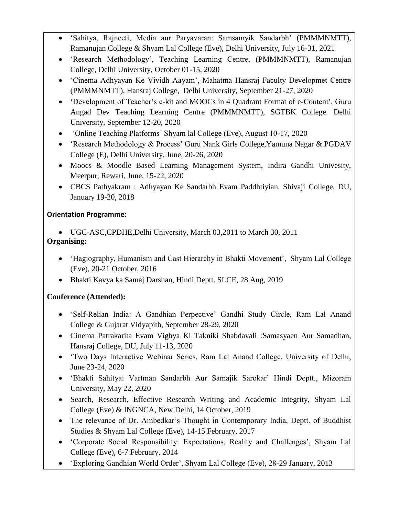- 'Sahitya, Rajneeti, Media aur Paryavaran: Samsamyik Sandarbh' (PMMMNMTT), Ramanujan College & Shyam Lal College (Eve), Delhi University, July 16-31, 2021
- 'Research Methodology', Teaching Learning Centre, (PMMMNMTT), Ramanujan College, Delhi University, October 01-15, 2020
- 'Cinema Adhyayan Ke Vividh Aayam', Mahatma Hansraj Faculty Developmet Centre (PMMMNMTT), Hansraj College, Delhi University, September 21-27, 2020
- 'Development of Teacher's e-kit and MOOCs in 4 Quadrant Format of e-Content', Guru Angad Dev Teaching Learning Centre (PMMMNMTT), SGTBK College. Delhi University, September 12-20, 2020
- 'Online Teaching Platforms' Shyam lal College (Eve), August 10-17, 2020
- 'Research Methodology & Process' Guru Nank Girls College,Yamuna Nagar & PGDAV College (E), Delhi University, June, 20-26, 2020
- Moocs & Moodle Based Learning Management System, Indira Gandhi Univesity, Meerpur, Rewari, June, 15-22, 2020
- CBCS Pathyakram : Adhyayan Ke Sandarbh Evam Paddhtiyian, Shivaji College, DU, January 19-20, 2018

### **Orientation Programme:**

- UGC-ASC,CPDHE,Delhi University, March 03,2011 to March 30, 2011 **Organising:**
	- 'Hagiography, Humanism and Cast Hierarchy in Bhakti Movement', Shyam Lal College (Eve), 20-21 October, 2016
	- Bhakti Kavya ka Samaj Darshan, Hindi Deptt. SLCE, 28 Aug, 2019

### **Conference (Attended):**

- 'Self-Relian India: A Gandhian Perpective' Gandhi Study Circle, Ram Lal Anand College & Gujarat Vidyapith, September 28-29, 2020
- Cinema Patrakarita Evam Vighya Ki Takniki Shabdavali :Samasyaen Aur Samadhan, Hansraj College, DU, July 11-13, 2020
- 'Two Days Interactive Webinar Series, Ram Lal Anand College, University of Delhi, June 23-24, 2020
- 'Bhakti Sahitya: Vartman Sandarbh Aur Samajik Sarokar' Hindi Deptt., Mizoram University, May 22, 2020
- Search, Research, Effective Research Writing and Academic Integrity, Shyam Lal College (Eve) & INGNCA, New Delhi, 14 October, 2019
- The relevance of Dr. Ambedkar's Thought in Contemporary India, Deptt. of Buddhist Studies & Shyam Lal College (Eve), 14-15 February, 2017
- 'Corporate Social Responsibility: Expectations, Reality and Challenges', Shyam Lal College (Eve), 6-7 February, 2014
- 'Exploring Gandhian World Order', Shyam Lal College (Eve), 28-29 January, 2013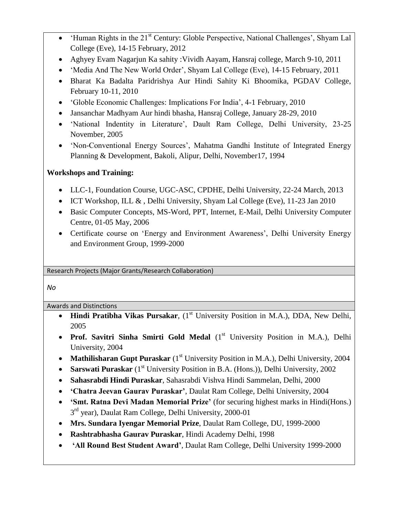- 'Human Rights in the 21st Century: Globle Perspective, National Challenges', Shyam Lal College (Eve), 14-15 February, 2012
- Aghyey Evam Nagarjun Ka sahity :Vividh Aayam, Hansraj college, March 9-10, 2011
- 'Media And The New World Order', Shyam Lal College (Eve), 14-15 February, 2011
- Bharat Ka Badalta Paridrishya Aur Hindi Sahity Ki Bhoomika, PGDAV College, February 10-11, 2010
- 'Globle Economic Challenges: Implications For India', 4-1 February, 2010
- Jansanchar Madhyam Aur hindi bhasha, Hansraj College, January 28-29, 2010
- 'National Indentity in Literature', Dault Ram College, Delhi University, 23-25 November, 2005
- 'Non-Conventional Energy Sources', Mahatma Gandhi Institute of Integrated Energy Planning & Development, Bakoli, Alipur, Delhi, November17, 1994

### **Workshops and Training:**

- LLC-1, Foundation Course, UGC-ASC, CPDHE, Delhi University, 22-24 March, 2013
- ICT Workshop, ILL & , Delhi University, Shyam Lal College (Eve), 11-23 Jan 2010
- Basic Computer Concepts, MS-Word, PPT, Internet, E-Mail, Delhi University Computer Centre, 01-05 May, 2006
- Certificate course on 'Energy and Environment Awareness', Delhi University Energy and Environment Group, 1999-2000

Research Projects (Major Grants/Research Collaboration)

*No*

Awards and Distinctions

- **Hindi Pratibha Vikas Pursakar**, (1<sup>st</sup> University Position in M.A.), DDA, New Delhi, 2005
- **Prof. Savitri Sinha Smirti Gold Medal** (1<sup>st</sup> University Position in M.A.), Delhi University, 2004
- Mathilisharan Gupt Puraskar (1<sup>st</sup> University Position in M.A.), Delhi University, 2004
- **Sarswati Puraskar** (1<sup>st</sup> University Position in B.A. (Hons.)), Delhi University, 2002
- **Sahasrabdi Hindi Puraskar**, Sahasrabdi Vishva Hindi Sammelan, Delhi, 2000
- **'Chatra Jeevan Gaurav Puraskar'**, Daulat Ram College, Delhi University, 2004
- **'Smt. Ratna Devi Madan Memorial Prize'** (for securing highest marks in Hindi(Hons.) 3<sup>rd</sup> year), Daulat Ram College, Delhi University, 2000-01
- **Mrs. Sundara Iyengar Memorial Prize**, Daulat Ram College, DU, 1999-2000
- **Rashtrabhasha Gaurav Puraskar**, Hindi Academy Delhi, 1998
- **'All Round Best Student Award'**, Daulat Ram College, Delhi University 1999-2000